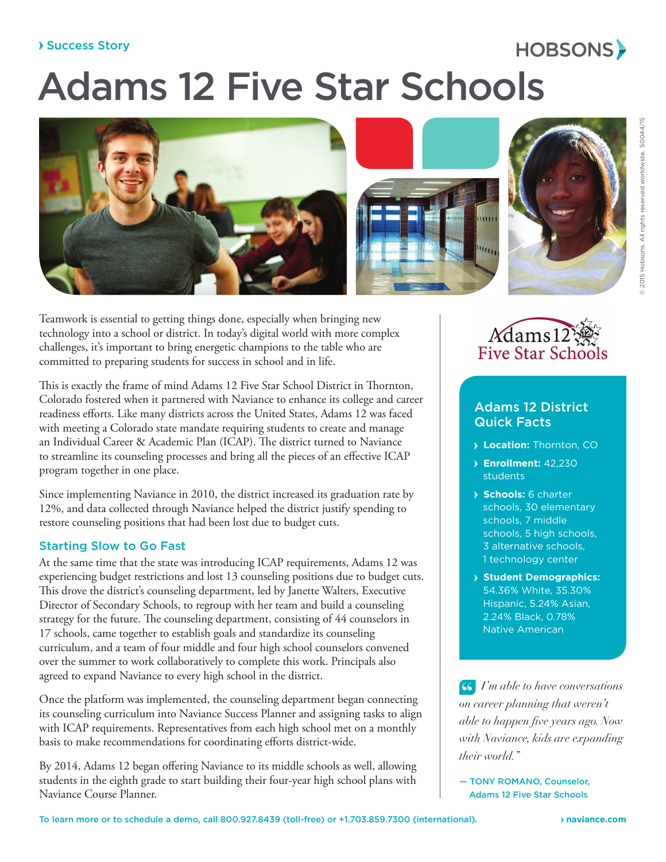## Success Story

# Adams 12 Five Star Schools



Teamwork is essential to getting things done, especially when bringing new technology into a school or district. In today's digital world with more complex challenges, it's important to bring energetic champions to the table who are committed to preparing students for success in school and in life.

This is exactly the frame of mind Adams 12 Five Star School District in Thornton, Colorado fostered when it partnered with Naviance to enhance its college and career readiness efforts. Like many districts across the United States, Adams 12 was faced with meeting a Colorado state mandate requiring students to create and manage an Individual Career & Academic Plan (ICAP). The district turned to Naviance to streamline its counseling processes and bring all the pieces of an effective ICAP program together in one place.

Since implementing Naviance in 2010, the district increased its graduation rate by 12%, and data collected through Naviance helped the district justify spending to restore counseling positions that had been lost due to budget cuts.

## Starting Slow to Go Fast

At the same time that the state was introducing ICAP requirements, Adams 12 was experiencing budget restrictions and lost 13 counseling positions due to budget cuts. This drove the district's counseling department, led by Janette Walters, Executive Director of Secondary Schools, to regroup with her team and build a counseling strategy for the future. The counseling department, consisting of 44 counselors in 17 schools, came together to establish goals and standardize its counseling curriculum, and a team of four middle and four high school counselors convened over the summer to work collaboratively to complete this work. Principals also agreed to expand Naviance to every high school in the district.

Once the platform was implemented, the counseling department began connecting its counseling curriculum into Naviance Success Planner and assigning tasks to align with ICAP requirements. Representatives from each high school met on a monthly basis to make recommendations for coordinating efforts district-wide.

By 2014, Adams 12 began offering Naviance to its middle schools as well, allowing students in the eighth grade to start building their four-year high school plans with Naviance Course Planner.



HOBSONS>

## Adams 12 District Quick Facts

- **Location:** Thornton, CO
- **Enrollment:** 42,230 students
- **Schools:** 6 charter schools, 30 elementary schools, 7 middle schools, 5 high schools, 3 alternative schools, 1 technology center
- **Student Demographics:** 54.36% White, 35.30% Hispanic, 5.24% Asian, 2.24% Black, 0.78% Native American

**"**  *I'm able to have conversations on career planning that weren't able to happen five years ago. Now with Naviance, kids are expanding their world."*

— TONY ROMANO, Counselor, Adams 12 Five Star Schools